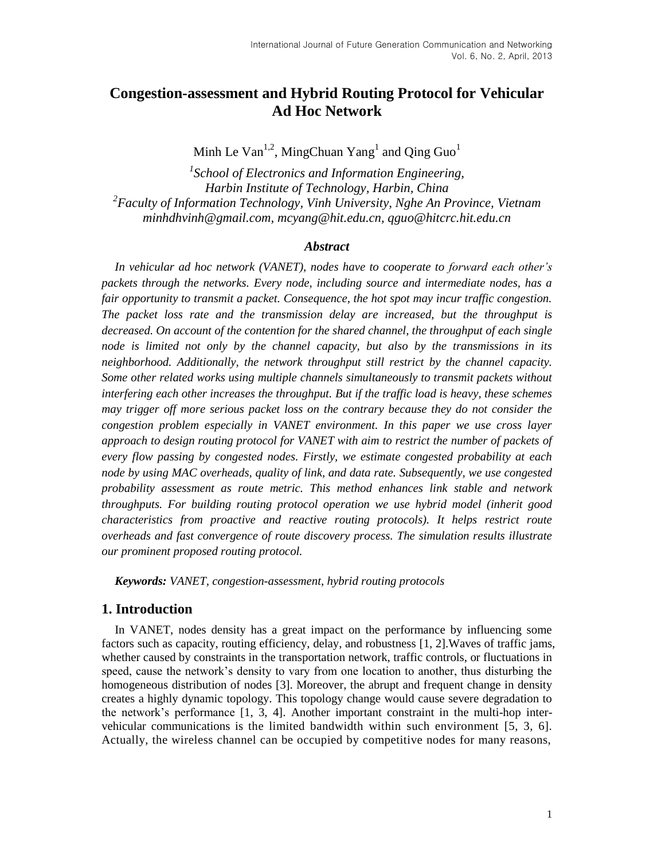# **Congestion-assessment and Hybrid Routing Protocol for Vehicular Ad Hoc Network**

Minh Le Van<sup>1,2</sup>, MingChuan Yang<sup>1</sup> and Qing Guo<sup>1</sup>

*1 School of Electronics and Information Engineering, Harbin Institute of Technology, Harbin, China 2 Faculty of Information Technology, Vinh University, Nghe An Province, Vietnam minhdhvinh@gmail.com, mcyang@hit.edu.cn, qguo@hitcrc.hit.edu.cn*

#### *Abstract*

*In vehicular ad hoc network (VANET), nodes have to cooperate to forward each other's packets through the networks. Every node, including source and intermediate nodes, has a fair opportunity to transmit a packet. Consequence, the hot spot may incur traffic congestion. The packet loss rate and the transmission delay are increased, but the throughput is decreased. On account of the contention for the shared channel, the throughput of each single node is limited not only by the channel capacity, but also by the transmissions in its neighborhood. Additionally, the network throughput still restrict by the channel capacity. Some other related works using multiple channels simultaneously to transmit packets without interfering each other increases the throughput. But if the traffic load is heavy, these schemes may trigger off more serious packet loss on the contrary because they do not consider the congestion problem especially in VANET environment. In this paper we use cross layer approach to design routing protocol for VANET with aim to restrict the number of packets of every flow passing by congested nodes. Firstly, we estimate congested probability at each node by using MAC overheads, quality of link, and data rate. Subsequently, we use congested probability assessment as route metric. This method enhances link stable and network throughputs. For building routing protocol operation we use hybrid model (inherit good characteristics from proactive and reactive routing protocols). It helps restrict route overheads and fast convergence of route discovery process. The simulation results illustrate our prominent proposed routing protocol.*

*Keywords: VANET, congestion-assessment, hybrid routing protocols*

# **1. Introduction**

In VANET, nodes density has a great impact on the performance by influencing some factors such as capacity, routing efficiency, delay, and robustness [1, 2].Waves of traffic jams, whether caused by constraints in the transportation network, traffic controls, or fluctuations in speed, cause the network's density to vary from one location to another, thus disturbing the homogeneous distribution of nodes [3]. Moreover, the abrupt and frequent change in density creates a highly dynamic topology. This topology change would cause severe degradation to the network's performance [1, 3, 4]. Another important constraint in the multi-hop intervehicular communications is the limited bandwidth within such environment [5, 3, 6]. Actually, the wireless channel can be occupied by competitive nodes for many reasons,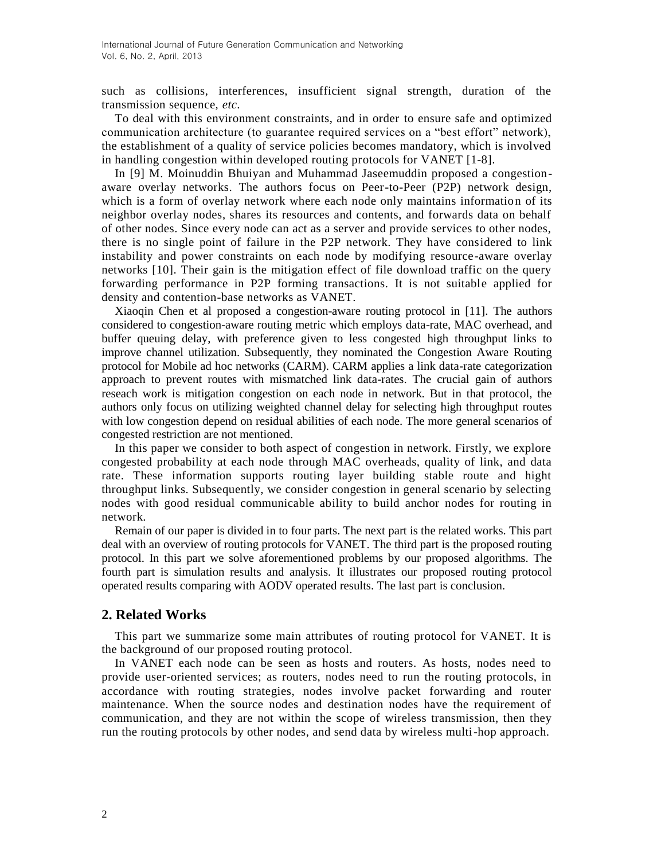such as collisions, interferences, insufficient signal strength, duration of the transmission sequence, *etc.*

To deal with this environment constraints, and in order to ensure safe and optimized communication architecture (to guarantee required services on a "best effort" network), the establishment of a quality of service policies becomes mandatory, which is involved in handling congestion within developed routing protocols for VANET [1-8].

In [9] M. Moinuddin Bhuiyan and Muhammad Jaseemuddin proposed a congestionaware overlay networks. The authors focus on Peer-to-Peer (P2P) network design, which is a form of overlay network where each node only maintains information of its neighbor overlay nodes, shares its resources and contents, and forwards data on behalf of other nodes. Since every node can act as a server and provide services to other nodes, there is no single point of failure in the P2P network. They have considered to link instability and power constraints on each node by modifying resource-aware overlay networks [10]. Their gain is the mitigation effect of file download traffic on the query forwarding performance in P2P forming transactions. It is not suitable applied for density and contention-base networks as VANET.

Xiaoqin Chen et al proposed a congestion-aware routing protocol in [11]. The authors considered to congestion-aware routing metric which employs data-rate, MAC overhead, and buffer queuing delay, with preference given to less congested high throughput links to improve channel utilization. Subsequently, they nominated the Congestion Aware Routing protocol for Mobile ad hoc networks (CARM). CARM applies a link data-rate categorization approach to prevent routes with mismatched link data-rates. The crucial gain of authors reseach work is mitigation congestion on each node in network. But in that protocol, the authors only focus on utilizing weighted channel delay for selecting high throughput routes with low congestion depend on residual abilities of each node. The more general scenarios of congested restriction are not mentioned.

In this paper we consider to both aspect of congestion in network. Firstly, we explore congested probability at each node through MAC overheads, quality of link, and data rate. These information supports routing layer building stable route and hight throughput links. Subsequently, we consider congestion in general scenario by selecting nodes with good residual communicable ability to build anchor nodes for routing in network.

Remain of our paper is divided in to four parts. The next part is the related works. This part deal with an overview of routing protocols for VANET. The third part is the proposed routing protocol. In this part we solve aforementioned problems by our proposed algorithms. The fourth part is simulation results and analysis. It illustrates our proposed routing protocol operated results comparing with AODV operated results. The last part is conclusion.

### **2. Related Works**

This part we summarize some main attributes of routing protocol for VANET. It is the background of our proposed routing protocol.

In VANET each node can be seen as hosts and routers. As hosts, nodes need to provide user-oriented services; as routers, nodes need to run the routing protocols, in accordance with routing strategies, nodes involve packet forwarding and router maintenance. When the source nodes and destination nodes have the requirement of communication, and they are not within the scope of wireless transmission, then they run the routing protocols by other nodes, and send data by wireless multi-hop approach.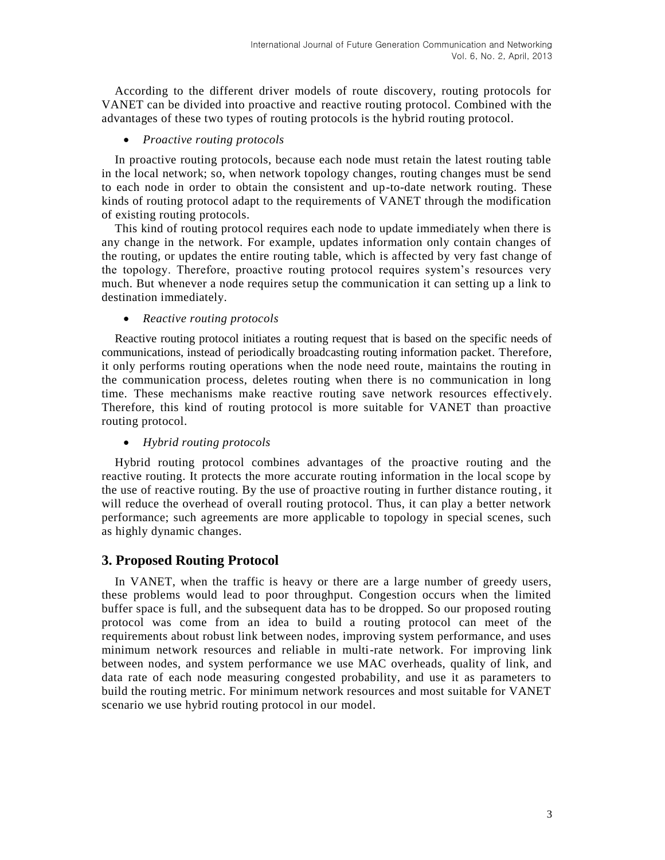According to the different driver models of route discovery, routing protocols for VANET can be divided into proactive and reactive routing protocol. Combined with the advantages of these two types of routing protocols is the hybrid routing protocol.

### *Proactive routing protocols*

In proactive routing protocols, because each node must retain the latest routing table in the local network; so, when network topology changes, routing changes must be send to each node in order to obtain the consistent and up-to-date network routing. These kinds of routing protocol adapt to the requirements of VANET through the modification of existing routing protocols.

This kind of routing protocol requires each node to update immediately when there is any change in the network. For example, updates information only contain changes of the routing, or updates the entire routing table, which is affected by very fast change of the topology. Therefore, proactive routing protocol requires system's resources very much. But whenever a node requires setup the communication it can setting up a link to destination immediately.

*Reactive routing protocols*

Reactive routing protocol initiates a routing request that is based on the specific needs of communications, instead of periodically broadcasting routing information packet. Therefore, it only performs routing operations when the node need route, maintains the routing in the communication process, deletes routing when there is no communication in long time. These mechanisms make reactive routing save network resources effectively. Therefore, this kind of routing protocol is more suitable for VANET than proactive routing protocol.

### *Hybrid routing protocols*

Hybrid routing protocol combines advantages of the proactive routing and the reactive routing. It protects the more accurate routing information in the local scope by the use of reactive routing. By the use of proactive routing in further distance routing, it will reduce the overhead of overall routing protocol. Thus, it can play a better network performance; such agreements are more applicable to topology in special scenes, such as highly dynamic changes.

# **3. Proposed Routing Protocol**

In VANET, when the traffic is heavy or there are a large number of greedy users, these problems would lead to poor throughput. Congestion occurs when the limited buffer space is full, and the subsequent data has to be dropped. So our proposed routing protocol was come from an idea to build a routing protocol can meet of the requirements about robust link between nodes, improving system performance, and uses minimum network resources and reliable in multi-rate network. For improving link between nodes, and system performance we use MAC overheads, quality of link, and data rate of each node measuring congested probability, and use it as parameters to build the routing metric. For minimum network resources and most suitable for VANET scenario we use hybrid routing protocol in our model.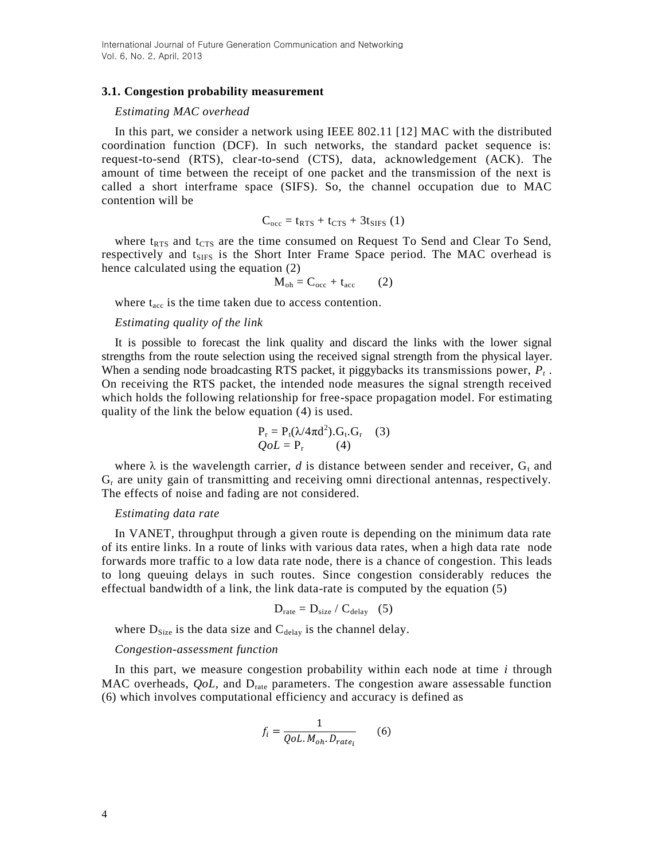#### **3.1. Congestion probability measurement**

#### *Estimating MAC overhead*

In this part, we consider a network using IEEE 802.11 [12] MAC with the distributed coordination function (DCF). In such networks, the standard packet sequence is: request-to-send (RTS), clear-to-send (CTS), data, acknowledgement (ACK). The amount of time between the receipt of one packet and the transmission of the next is called a short interframe space (SIFS). So, the channel occupation due to MAC contention will be

$$
C_{\rm occ} = t_{RTS} + t_{CTS} + 3t_{SIFS} (1)
$$

where  $t_{RTS}$  and  $t_{CTS}$  are the time consumed on Request To Send and Clear To Send, respectively and t<sub>SIFS</sub> is the Short Inter Frame Space period. The MAC overhead is hence calculated using the equation (2)

$$
M_{oh} = C_{occ} + t_{acc} \qquad (2)
$$

where  $t_{\text{acc}}$  is the time taken due to access contention.

### *Estimating quality of the link*

It is possible to forecast the link quality and discard the links with the lower signal strengths from the route selection using the received signal strength from the physical layer. When a sending node broadcasting RTS packet, it piggybacks its transmissions power, *P<sup>t</sup>* . On receiving the RTS packet, the intended node measures the signal strength received which holds the following relationship for free-space propagation model. For estimating quality of the link the below equation (4) is used.

$$
P_r = P_t(\lambda/4\pi d^2).G_t.G_r
$$
 (3)  

$$
QoL = P_r
$$
 (4)

where  $\lambda$  is the wavelength carrier, *d* is distance between sender and receiver,  $G_t$  and  $G_r$  are unity gain of transmitting and receiving omni directional antennas, respectively. The effects of noise and fading are not considered.

#### *Estimating data rate*

In VANET, throughput through a given route is depending on the minimum data rate of its entire links. In a route of links with various data rates, when a high data rate node forwards more traffic to a low data rate node, there is a chance of congestion. This leads to long queuing delays in such routes. Since congestion considerably reduces the effectual bandwidth of a link, the link data-rate is computed by the equation (5)

$$
D_{\text{rate}} = D_{\text{size}} / C_{\text{delay}} \quad (5)
$$

where  $D_{Size}$  is the data size and  $C_{delay}$  is the channel delay.

#### *Congestion-assessment function*

In this part, we measure congestion probability within each node at time *i* through MAC overheads, *QoL*, and D<sub>rate</sub> parameters. The congestion aware assessable function (6) which involves computational efficiency and accuracy is defined as

$$
f_i = \frac{1}{QoL.M_{oh} \cdot D_{rate_i}}\tag{6}
$$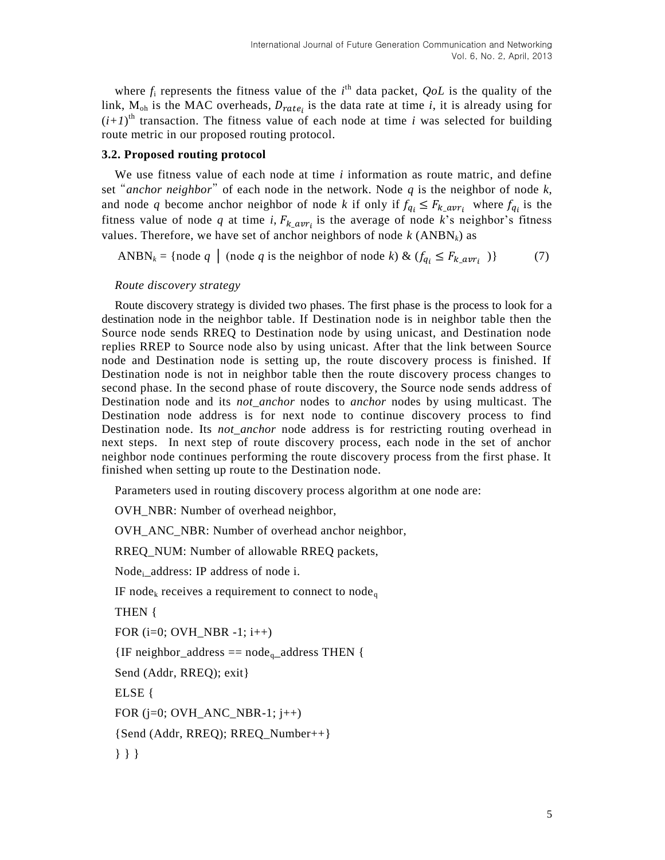where  $f_i$  represents the fitness value of the  $i^{\text{th}}$  data packet,  $QoL$  is the quality of the link,  $M_{oh}$  is the MAC overheads,  $D_{rate}$  is the data rate at time *i*, it is already using for  $(i+1)$ <sup>th</sup> transaction. The fitness value of each node at time *i* was selected for building route metric in our proposed routing protocol.

### **3.2. Proposed routing protocol**

We use fitness value of each node at time *i* information as route matric, and define set "*anchor neighbor*" of each node in the network. Node *q* is the neighbor of node *k*, and node q become anchor neighbor of node k if only if  $f_{a_i} \leq F_{k}$  averture  $f_{a_i}$  is the fitness value of node q at time *i*,  $F_k$  <sub>avri</sub> is the average of node k's neighbor's fitness values. Therefore, we have set of anchor neighbors of node  $k$  (ANBN<sub>k</sub>) as

ANBN<sub>k</sub> = {node *q* | (node *q* is the neighbor of node *k*) &  $(f_{q_i} \leq F_{k \text{ any } r_i})$  (7)

#### *Route discovery strategy*

Route discovery strategy is divided two phases. The first phase is the process to look for a destination node in the neighbor table. If Destination node is in neighbor table then the Source node sends RREQ to Destination node by using unicast, and Destination node replies RREP to Source node also by using unicast. After that the link between Source node and Destination node is setting up, the route discovery process is finished. If Destination node is not in neighbor table then the route discovery process changes to second phase. In the second phase of route discovery, the Source node sends address of Destination node and its *not\_anchor* nodes to *anchor* nodes by using multicast. The Destination node address is for next node to continue discovery process to find Destination node. Its *not\_anchor* node address is for restricting routing overhead in next steps. In next step of route discovery process, each node in the set of anchor neighbor node continues performing the route discovery process from the first phase. It finished when setting up route to the Destination node.

Parameters used in routing discovery process algorithm at one node are:

OVH\_NBR: Number of overhead neighbor,

OVH\_ANC\_NBR: Number of overhead anchor neighbor,

RREQ\_NUM: Number of allowable RREQ packets,

Node<sub>i</sub>\_address: IP address of node i.

IF node<sub>k</sub> receives a requirement to connect to node<sub>q</sub>

THEN {

FOR (i=0; OVH\_NBR -1; i++)

 ${IF}$  neighbor\_address == node<sub>q</sub>\_address THEN {

Send (Addr, RREQ); exit}

ELSE {

FOR  $(i=0; OVH_ANC_NBR-1; i++)$ 

{Send (Addr, RREQ); RREQ\_Number++}

} } }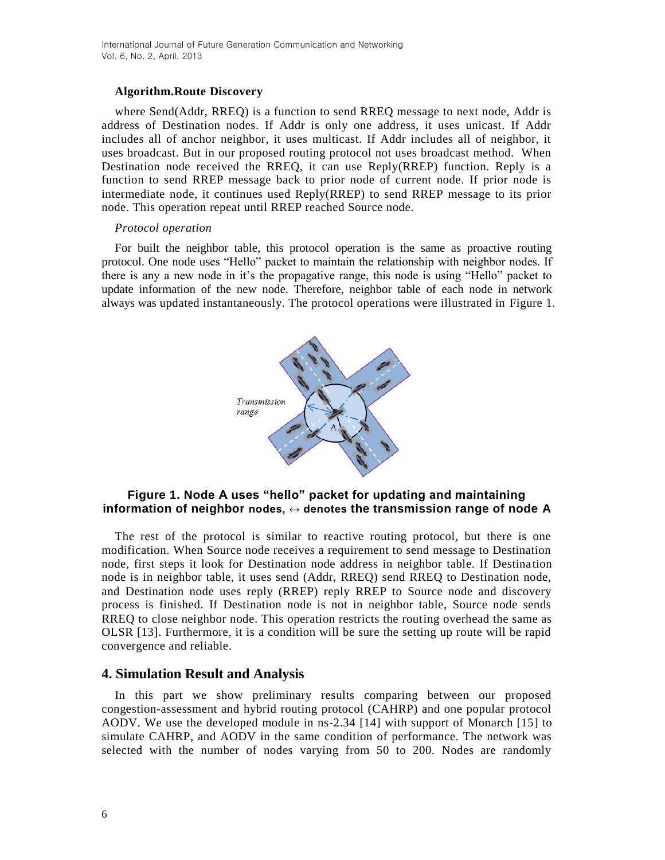### **Algorithm.Route Discovery**

where Send(Addr, RREQ) is a function to send RREQ message to next node, Addr is address of Destination nodes. If Addr is only one address, it uses unicast. If Addr includes all of anchor neighbor, it uses multicast. If Addr includes all of neighbor, it uses broadcast. But in our proposed routing protocol not uses broadcast method. When Destination node received the RREQ, it can use Reply(RREP) function. Reply is a function to send RREP message back to prior node of current node. If prior node is intermediate node, it continues used Reply(RREP) to send RREP message to its prior node. This operation repeat until RREP reached Source node.

#### *Protocol operation*

For built the neighbor table, this protocol operation is the same as proactive routing protocol. One node uses "Hello" packet to maintain the relationship with neighbor nodes. If there is any a new node in it's the propagative range, this node is using "Hello" packet to update information of the new node. Therefore, neighbor table of each node in network always was updated instantaneously. The protocol operations were illustrated in Figure 1.



## **Figure 1. Node A uses "hello" packet for updating and maintaining information of neighbor nodes, ↔ denotes the transmission range of node A**

The rest of the protocol is similar to reactive routing protocol, but there is one modification. When Source node receives a requirement to send message to Destination node, first steps it look for Destination node address in neighbor table. If Destina tion node is in neighbor table, it uses send (Addr, RREQ) send RREQ to Destination node, and Destination node uses reply (RREP) reply RREP to Source node and discovery process is finished. If Destination node is not in neighbor table, Source node sends RREQ to close neighbor node. This operation restricts the routing overhead the same as OLSR [13]. Furthermore, it is a condition will be sure the setting up route will be rapid convergence and reliable.

# **4. Simulation Result and Analysis**

In this part we show preliminary results comparing between our proposed congestion-assessment and hybrid routing protocol (CAHRP) and one popular protocol AODV. We use the developed module in ns-2.34 [14] with support of Monarch [15] to simulate CAHRP, and AODV in the same condition of performance. The network was selected with the number of nodes varying from 50 to 200. Nodes are randomly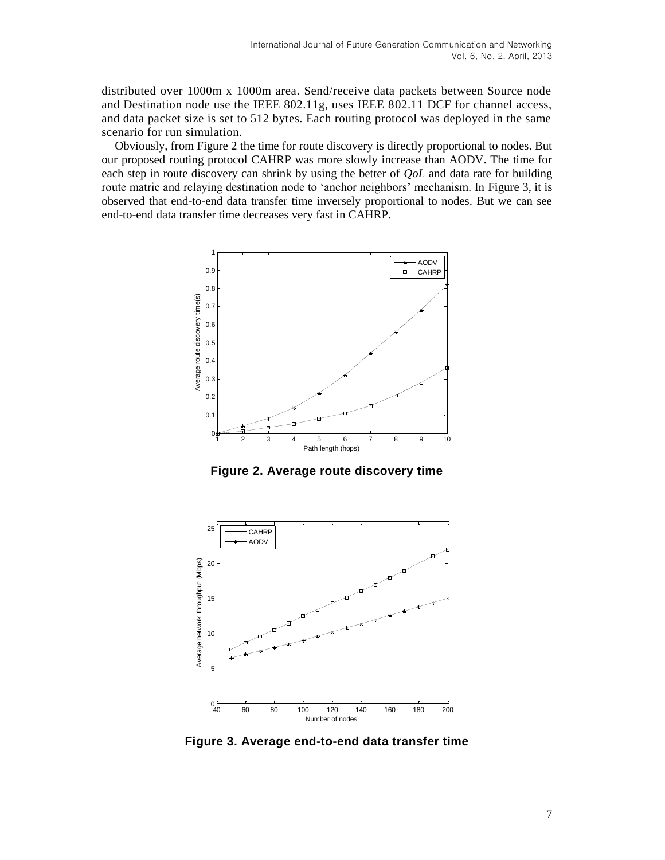distributed over 1000m x 1000m area. Send/receive data packets between Source node and Destination node use the IEEE 802.11g, uses IEEE 802.11 DCF for channel access, and data packet size is set to 512 bytes. Each routing protocol was deployed in the same scenario for run simulation.

Obviously, from Figure 2 the time for route discovery is directly proportional to nodes. But our proposed routing protocol CAHRP was more slowly increase than AODV. The time for each step in route discovery can shrink by using the better of *QoL* and data rate for building route matric and relaying destination node to 'anchor neighbors' mechanism. In Figure 3, it is observed that end-to-end data transfer time inversely proportional to nodes. But we can see end-to-end data transfer time decreases very fast in CAHRP.



**Figure 2. Average route discovery time**



**Figure 3. Average end-to-end data transfer time**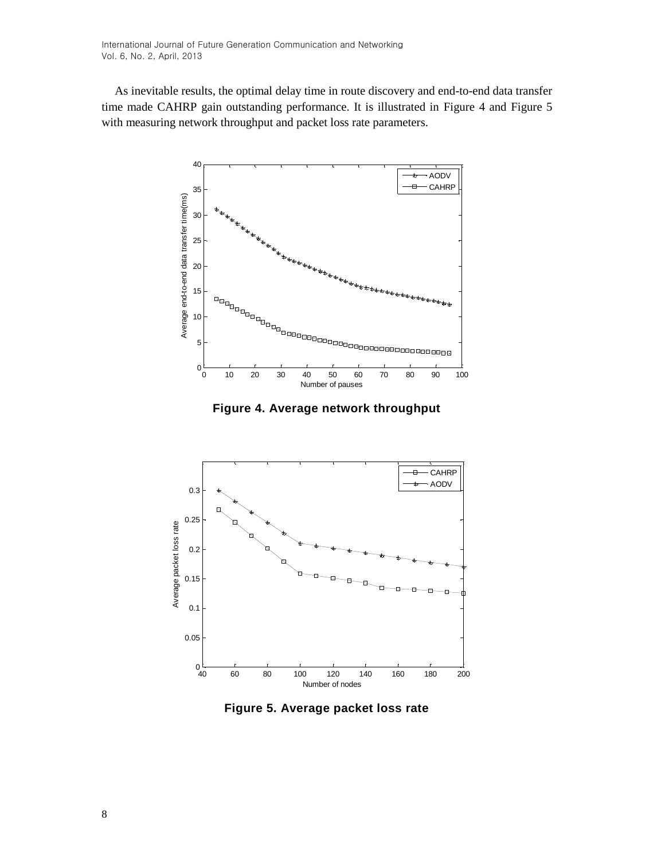As inevitable results, the optimal delay time in route discovery and end-to-end data transfer time made CAHRP gain outstanding performance. It is illustrated in Figure 4 and Figure 5 with measuring network throughput and packet loss rate parameters.



**Figure 4. Average network throughput**



**Figure 5. Average packet loss rate**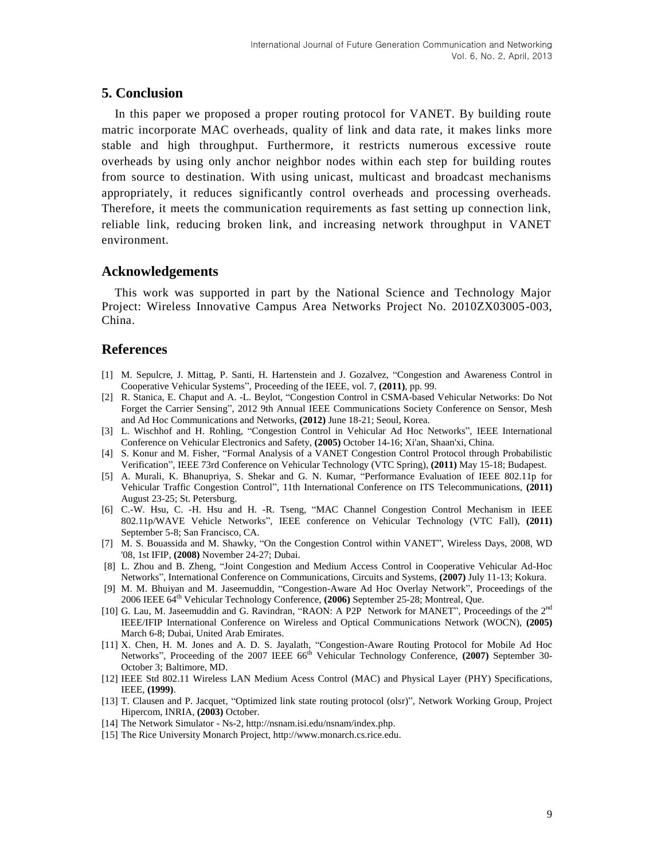### **5. Conclusion**

In this paper we proposed a proper routing protocol for VANET. By building route matric incorporate MAC overheads, quality of link and data rate, it makes links more stable and high throughput. Furthermore, it restricts numerous excessive route overheads by using only anchor neighbor nodes within each step for building routes from source to destination. With using unicast, multicast and broadcast mechanisms appropriately, it reduces significantly control overheads and processing overheads. Therefore, it meets the communication requirements as fast setting up connection link, reliable link, reducing broken link, and increasing network throughput in VANET environment.

## **Acknowledgements**

This work was supported in part by the National Science and Technology Major Project: Wireless Innovative Campus Area Networks Project No. 2010ZX03005-003, China.

## **References**

- [1] M. Sepulcre, J. Mittag, P. Santi, H. Hartenstein and J. Gozalvez, "Congestion and Awareness Control in Cooperative Vehicular Systems", Proceeding of the IEEE, vol. 7, **(2011)**, pp. 99.
- [2] R. Stanica, E. Chaput and A. -L. Beylot, "Congestion Control in CSMA-based Vehicular Networks: Do Not Forget the Carrier Sensing", 2012 9th Annual IEEE Communications Society Conference on Sensor, Mesh and Ad Hoc Communications and Networks, **(2012)** June 18-21; Seoul, Korea.
- [3] L. Wischhof and H. Rohling, "Congestion Control in Vehicular Ad Hoc Networks", IEEE International Conference on Vehicular Electronics and Safety, **(2005)** October 14-16; Xi'an, Shaan'xi, China.
- [4] S. Konur and M. Fisher, "Formal Analysis of a VANET Congestion Control Protocol through Probabilistic Verification", IEEE 73rd Conference on Vehicular Technology (VTC Spring), **(2011)** May 15-18; Budapest.
- [5] A. Murali, K. Bhanupriya, S. Shekar and G. N. Kumar, "Performance Evaluation of IEEE 802.11p for Vehicular Traffic Congestion Control", 11th International Conference on ITS Telecommunications, **(2011)**  August 23-25; St. Petersburg.
- [6] C.-W. Hsu, C. -H. Hsu and H. -R. Tseng, "MAC Channel Congestion Control Mechanism in IEEE 802.11p/WAVE Vehicle Networks", IEEE conference on Vehicular Technology (VTC Fall), **(2011)** September 5-8; San Francisco, CA.
- [7] M. S. Bouassida and M. Shawky, "On the Congestion Control within VANET", Wireless Days, 2008, WD '08, 1st IFIP, **(2008)** November 24-27; Dubai.
- [8] L. Zhou and B. Zheng, "Joint Congestion and Medium Access Control in Cooperative Vehicular Ad-Hoc Networks", International Conference on Communications, Circuits and Systems, **(2007)** July 11-13; Kokura.
- [9] M. M. Bhuiyan and M. Jaseemuddin, "Congestion-Aware Ad Hoc Overlay Network", Proceedings of the 2006 IEEE 64th Vehicular Technology Conference, **(2006)** September 25-28; Montreal, Que.
- [10] G. Lau, M. Jaseemuddin and G. Ravindran, "RAON: A P2P Network for MANET", Proceedings of the 2<sup>nd</sup> IEEE/IFIP International Conference on Wireless and Optical Communications Network (WOCN), **(2005)** March 6-8; Dubai, United Arab Emirates.
- [11] X. Chen, H. M. Jones and A. D. S. Jayalath, "Congestion-Aware Routing Protocol for Mobile Ad Hoc Networks", Proceeding of the 2007 IEEE 66<sup>th</sup> Vehicular Technology Conference, (2007) September 30-October 3; Baltimore, MD.
- [12] IEEE Std 802.11 Wireless LAN Medium Acess Control (MAC) and Physical Layer (PHY) Specifications, IEEE, **(1999)**.
- [13] T. Clausen and P. Jacquet, "Optimized link state routing protocol (olsr)", Network Working Group, Project Hipercom, INRIA, **(2003)** October.
- [14] The Network Simulator Ns-2, http://nsnam.isi.edu/nsnam/index.php.
- [15] The Rice University Monarch Project, http://www.monarch.cs.rice.edu.